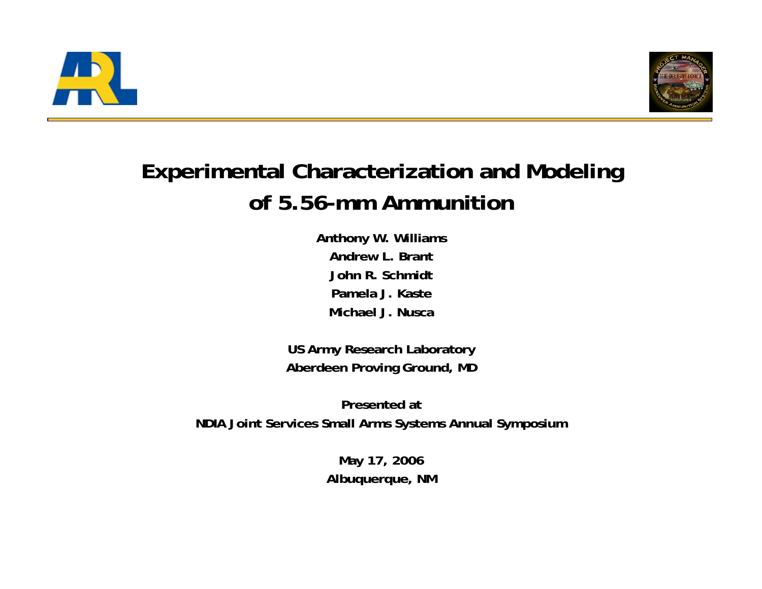



#### **Experimental Characterization and Modeling of 5.56-mm Ammunition**

**Anthony W. Williams Andrew L. BrantJohn R. SchmidtPamela J. KasteMichael J. Nusca**

**US Army Research Laboratory Aberdeen Proving Ground, MD**

**Presented atNDIA Joint Services Small Arms Systems Annual Symposium**

> **May 17, 2006 Albuquerque, NM**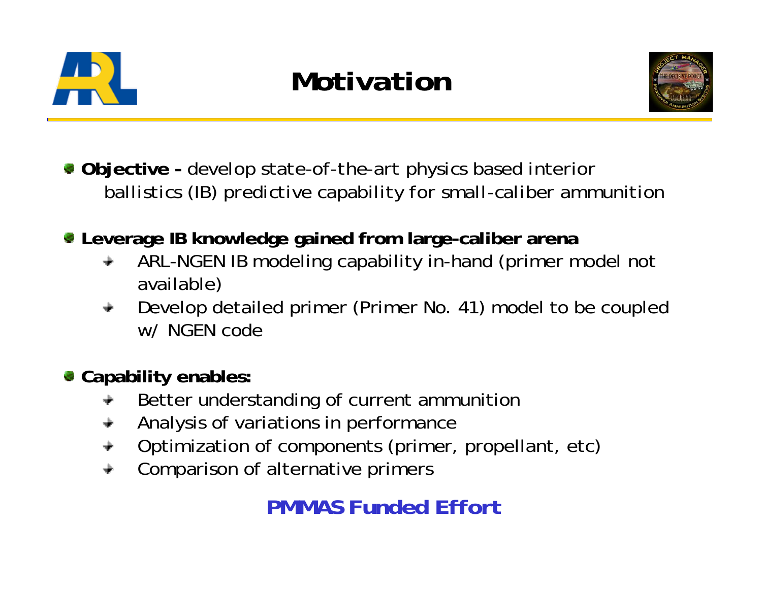

*Motivation*



**Objective -** *develop state-of-the-art physics based interior ballistics (IB) predictive capability for small-caliber ammunition*

- **Leverage IB knowledge gained from large-caliber arena** 
	- ARL-NGEN IB modeling capability in-hand (primer model not available)
	- Develop detailed primer (Primer No. 41) model to be coupled w/ NGEN code
- **Capability enables:**
	- Better understanding of current ammunition
	- Analysis of variations in performance  $\div$
	- Optimization of components (primer, propellant, etc)
	- Comparison of alternative primers

#### *PMMAS Funded Effort*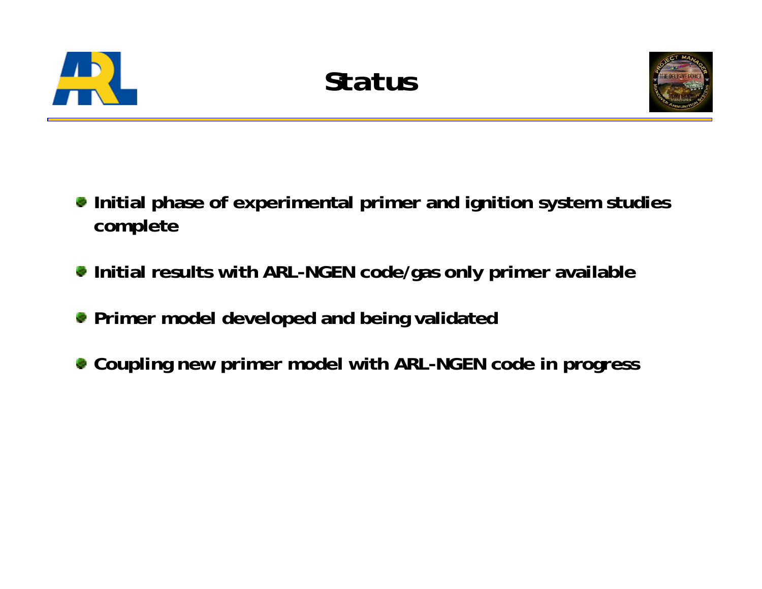



- **Initial phase of experimental primer and ignition system studies complete**
- **Initial results with ARL-NGEN code/gas only primer available**
- **Primer model developed and being validated**
- **Coupling new primer model with ARL-NGEN code in progress**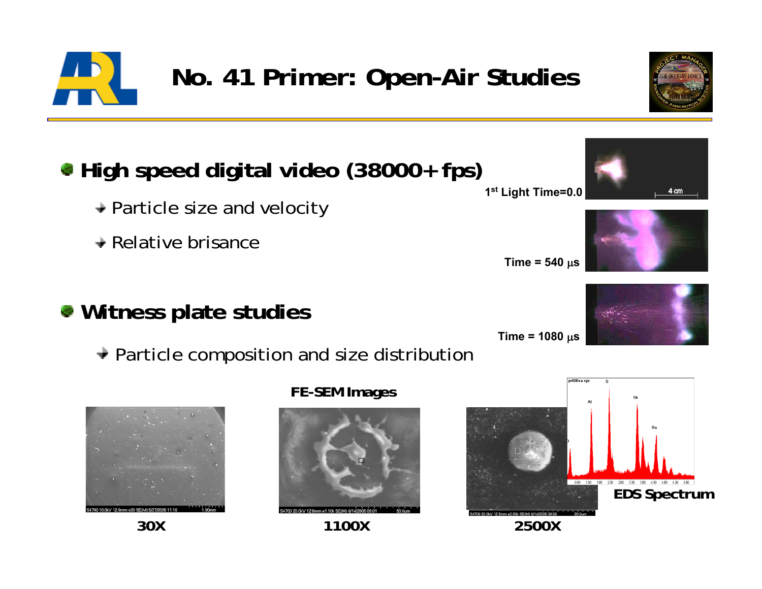### **No. 41 Primer: Open-Air Studies**

#### **1s<sup>t</sup> Light Time=0.0 High speed digital video (38000+ fps)**

- **→ Particle size and velocity**
- $\rightarrow$  Relative brisance
- **Witness plate studies**
	- $\rightarrow$  Particle composition and size distribution





**FE-SEM Images**





**Time = 540**  μ **s**





**Time = 1080**  μ **s**





4 cm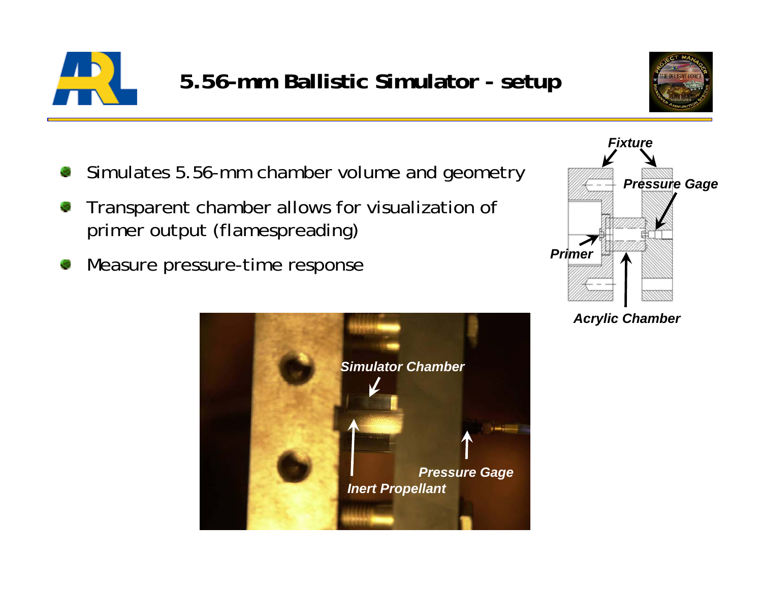



- *Pressure Gage* Simulates 5.56-mm chamber volume and geometry
- Transparent chamber allows for visualization of primer output (flamespreading)
- Measure pressure-time response





*Acrylic Chamber*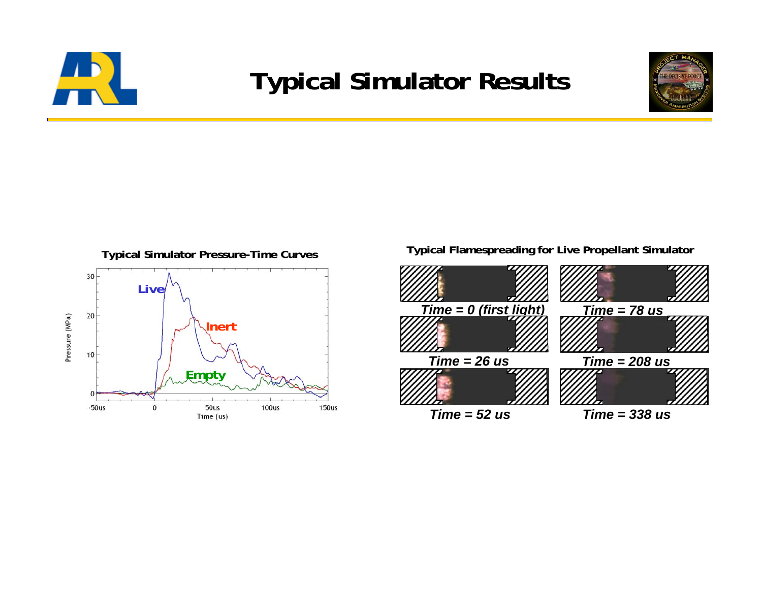

## **Typical Simulator Results**





#### **Typical Flamespreading for Live Propellant Simulator**

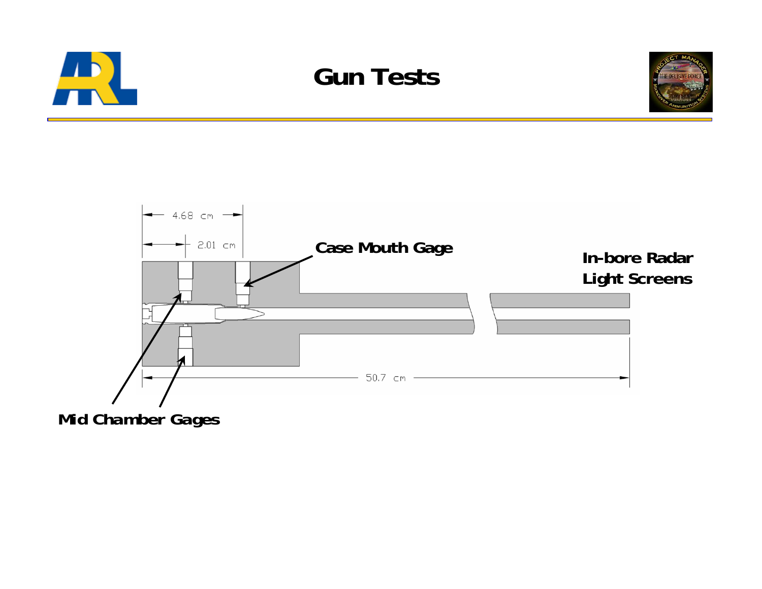







*Mid Chamber Gages*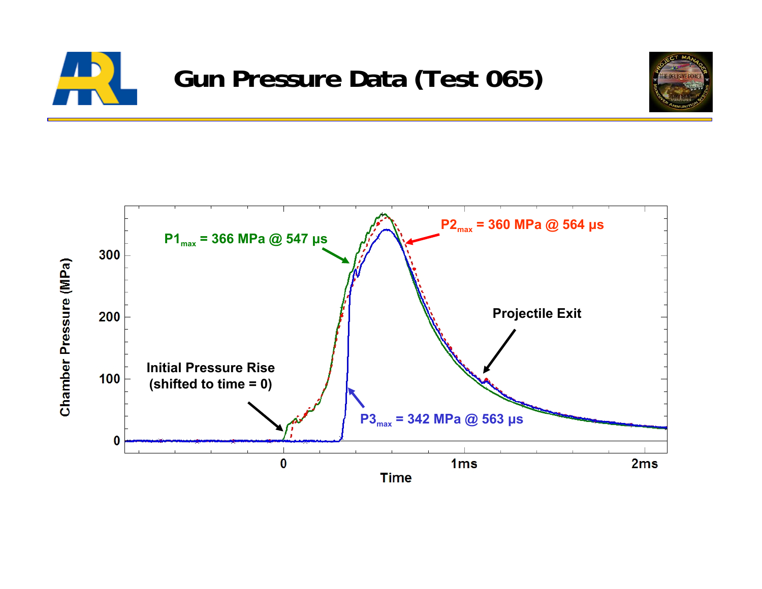



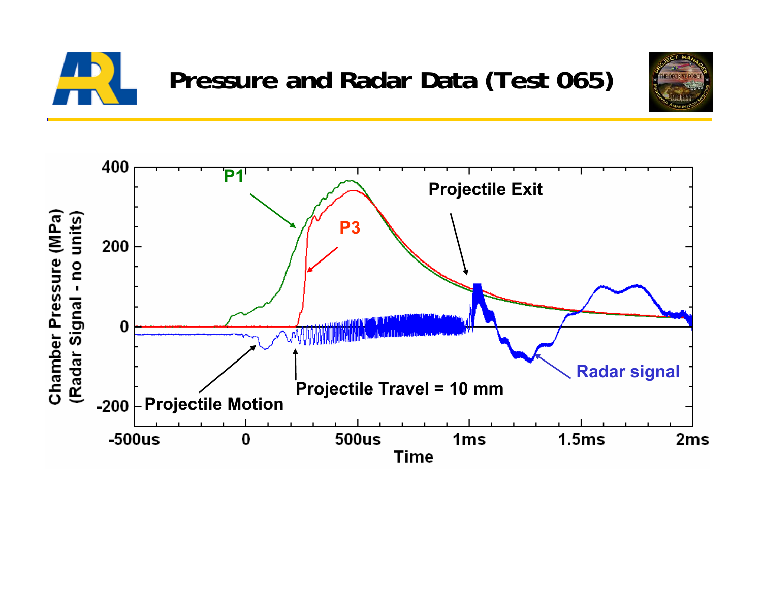



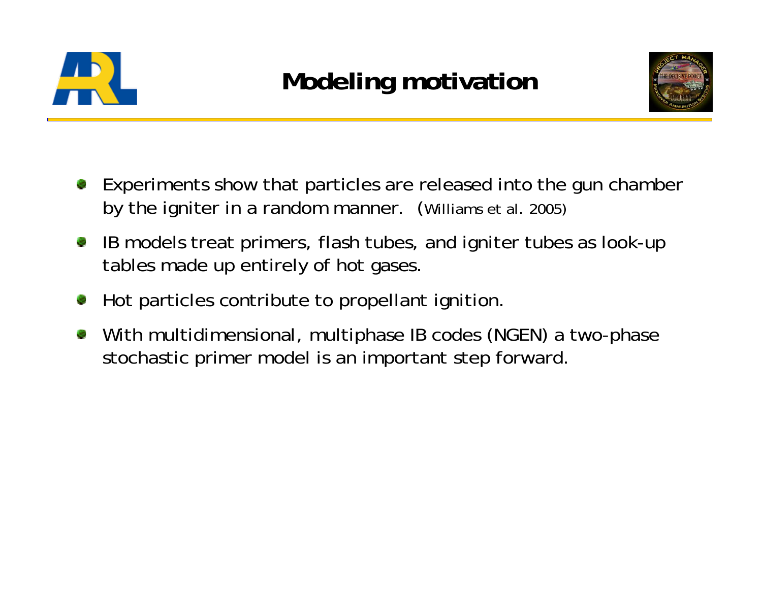



- Experiments show that particles are released into the gun chamber by the igniter in a random manner. (Williams et al. 2005)
- IB models treat primers, flash tubes, and igniter tubes as look-up V. tables made up entirely of hot gases.
- Hot particles contribute to propellant ignition.
- With multidimensional, multiphase IB codes (NGEN) a two-phase stochastic primer model is an important step forward.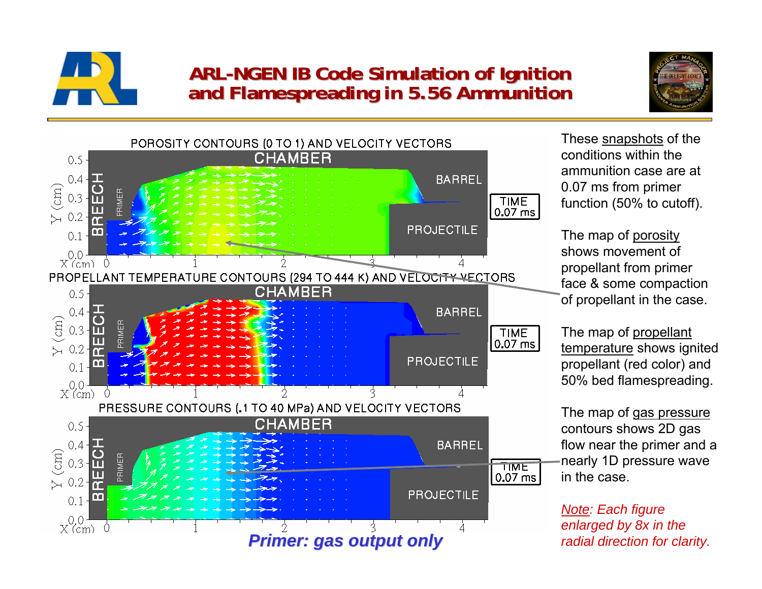

# **ARL-NGEN IB Code Simulation of Ignition NGEN IB Code Simulation of Ignition and Flamespreading in 5.56 Ammunition and Flamespreading in 5.56 Ammunition**





These snapshots of the conditions within the ammunition case are at 0.07 ms from primer function (50% to cutoff).

The map of porosity shows movement of propellant from primer face & some compaction of propellant in the case.

The map of propellant temperature shows ignited propellant (red color) and 50% bed flamespreading.

The map of gas pressure contours shows 2D gas flow near the primer and a nearly 1D pressure wave in the case.

*Note: Each figure enlarged by 8x in the radial direction for clarity.*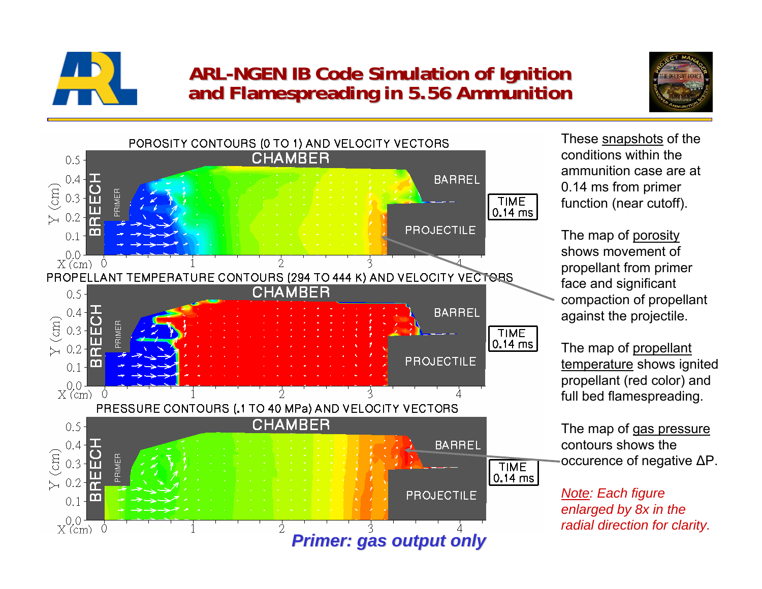

# **ARL-NGEN IB Code Simulation of Ignition NGEN IB Code Simulation of Ignition and Flamespreading in 5.56 Ammunition and Flamespreading in 5.56 Ammunition**





These snapshots of the conditions within the ammunition case are at 0.14 ms from primer function (near cutoff).

The map of porosity shows movement of propellant from primer face and significant compaction of propellant against the projectile.

The map of propellant temperature shows ignited propellant (red color) and full bed flamespreading.

The map of gas pressure contours shows the occurence of negative ΔP.

*Note: Each figure enlarged by 8x in the radial direction for clarity.*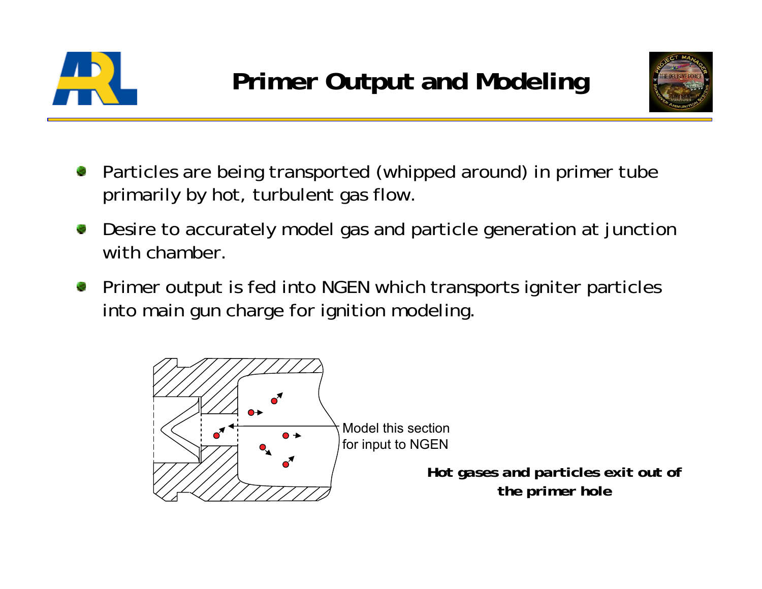



- Particles are being transported (whipped around) in primer tube primarily by hot, turbulent gas flow.
- Desire to accurately model gas and particle generation at junction with chamber.
- Primer output is fed into NGEN which transports igniter particles into main gun charge for ignition modeling.